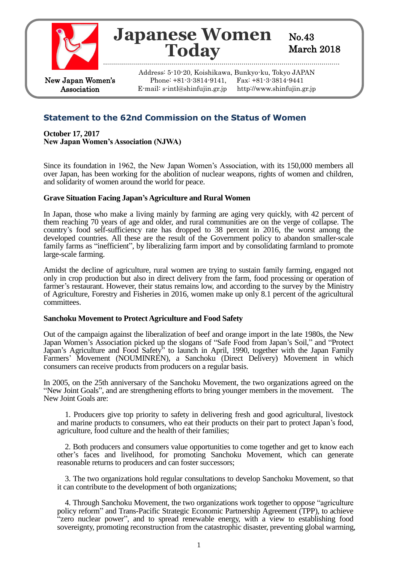

# **Japanese Women Today**

No.43 March 2018

New Japan Women's Association

Address: 5-10-20, Koishikawa, Bunkyo-ku, Tokyo JAPAN Phone: +81-3-3814-9141, Fax: +81-3-3814-9441 E-mail: s-intl@shinfujin.gr.jp http://www.shinfujin.gr.jp

## **Statement to the 62nd Commission on the Status of Women**

**October 17, 2017 New Japan Women's Association (NJWA)**

Since its foundation in 1962, the New Japan Women's Association, with its 150,000 members all over Japan, has been working for the abolition of nuclear weapons, rights of women and children, and solidarity of women around the world for peace.

## **Grave Situation Facing Japan's Agriculture and Rural Women**

In Japan, those who make a living mainly by farming are aging very quickly, with 42 percent of them reaching 70 years of age and older, and rural communities are on the verge of collapse. The country's food self-sufficiency rate has dropped to 38 percent in 2016, the worst among the developed countries. All these are the result of the Government policy to abandon smaller-scale family farms as "inefficient", by liberalizing farm import and by consolidating farmland to promote large-scale farming.

Amidst the decline of agriculture, rural women are trying to sustain family farming, engaged not only in crop production but also in direct delivery from the farm, food processing or operation of farmer's restaurant. However, their status remains low, and according to the survey by the Ministry of Agriculture, Forestry and Fisheries in 2016, women make up only 8.1 percent of the agricultural committees.

#### **Sanchoku Movement to Protect Agriculture and Food Safety**

Out of the campaign against the liberalization of beef and orange import in the late 1980s, the New Japan Women's Association picked up the slogans of "Safe Food from Japan's Soil," and "Protect Japan's Agriculture and Food Safety<sup>5</sup> to launch in April, 1990, together with the Japan Family Farmers' Movement (NOUMINREN), a Sanchoku (Direct Delivery) Movement in which consumers can receive products from producers on a regular basis.

In 2005, on the 25th anniversary of the Sanchoku Movement, the two organizations agreed on the "New Joint Goals", and are strengthening efforts to bring younger members in the movement. The New Joint Goals are:

 1. Producers give top priority to safety in delivering fresh and good agricultural, livestock and marine products to consumers, who eat their products on their part to protect Japan's food, agriculture, food culture and the health of their families;

 2. Both producers and consumers value opportunities to come together and get to know each other's faces and livelihood, for promoting Sanchoku Movement, which can generate reasonable returns to producers and can foster successors;

 3. The two organizations hold regular consultations to develop Sanchoku Movement, so that it can contribute to the development of both organizations;

 4. Through Sanchoku Movement, the two organizations work together to oppose "agriculture policy reform" and Trans-Pacific Strategic Economic Partnership Agreement (TPP), to achieve "zero nuclear power", and to spread renewable energy, with a view to establishing food sovereignty, promoting reconstruction from the catastrophic disaster, preventing global warming,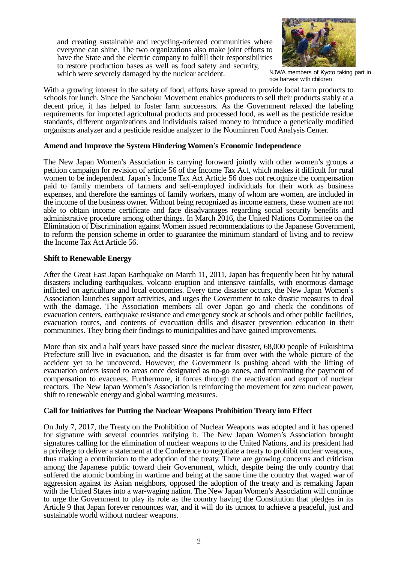and creating sustainable and recycling-oriented communities where everyone can shine. The two organizations also make joint efforts to have the State and the electric company to fulfill their responsibilities to restore production bases as well as food safety and security, which were severely damaged by the nuclear accident.



NJWA members of Kyoto taking part in rice harvest with children

With a growing interest in the safety of food, efforts have spread to provide local farm products to schools for lunch. Since the Sanchoku Movement enables producers to sell their products stably at a decent price, it has helped to foster farm successors. As the Government relaxed the labeling requirements for imported agricultural products and processed food, as well as the pesticide residue standards, different organizations and individuals raised money to introduce a genetically modified organisms analyzer and a pesticide residue analyzer to the Nouminren Food Analysis Center.

#### **Amend and Improve the System Hindering Women's Economic Independence**

The New Japan Women's Association is carrying foroward jointly with other women's groups a petition campaign for revision of article 56 of the Income Tax Act, which makes it difficult for rural women to be independent. Japan's Income Tax Act Article 56 does not recognize the compensation paid to family members of farmers and self-employed individuals for their work as business expenses, and therefore the earnings of family workers, many of whom are women, are included in the income of the business owner. Without being recognized as income earners, these women are not able to obtain income certificate and face disadvantages regarding social security benefits and administrative procedure among other things. In March 2016, the United Nations Committee on the Elimination of Discrimination against Women issued recommendations to the Japanese Government, to reform the pension scheme in order to guarantee the minimum standard of living and to review the Income Tax Act Article 56.

#### **Shift to Renewable Energy**

After the Great East Japan Earthquake on March 11, 2011, Japan has frequently been hit by natural disasters including earthquakes, volcano eruption and intensive rainfalls, with enormous damage inflicted on agriculture and local economies. Every time disaster occurs, the New Japan Women's Association launches support activities, and urges the Government to take drastic measures to deal with the damage. The Association members all over Japan go and check the conditions of evacuation centers, earthquake resistance and emergency stock at schools and other public facilities, evacuation routes, and contents of evacuation drills and disaster prevention education in their communities. They bring their findings to municipalities and have gained improvements.

More than six and a half years have passed since the nuclear disaster, 68,000 people of Fukushima Prefecture still live in evacuation, and the disaster is far from over with the whole picture of the accident yet to be uncovered. However, the Government is pushing ahead with the lifting of evacuation orders issued to areas once designated as no-go zones, and terminating the payment of compensation to evacuees. Furthermore, it forces through the reactivation and export of nuclear reactors. The New Japan Women's Association is reinforcing the movement for zero nuclear power, shift to renewable energy and global warming measures.

## **Call for Initiatives for Putting the Nuclear Weapons Prohibition Treaty into Effect**

On July 7, 2017, the Treaty on the Prohibition of Nuclear Weapons was adopted and it has opened for signature with several countries ratifying it. The New Japan Women's Association brought signatures calling for the elimination of nuclear weapons to the United Nations, and its president had a privilege to deliver a statement at the Conference to negotiate a treaty to prohibit nuclear weapons, thus making a contribution to the adoption of the treaty. There are growing concerns and criticism among the Japanese public toward their Government, which, despite being the only country that suffered the atomic bombing in wartime and being at the same time the country that waged war of aggression against its Asian neighbors, opposed the adoption of the treaty and is remaking Japan with the United States into a war-waging nation. The New Japan Women's Association will continue to urge the Government to play its role as the country having the Constitution that pledges in its Article 9 that Japan forever renounces war, and it will do its utmost to achieve a peaceful, just and sustainable world without nuclear weapons.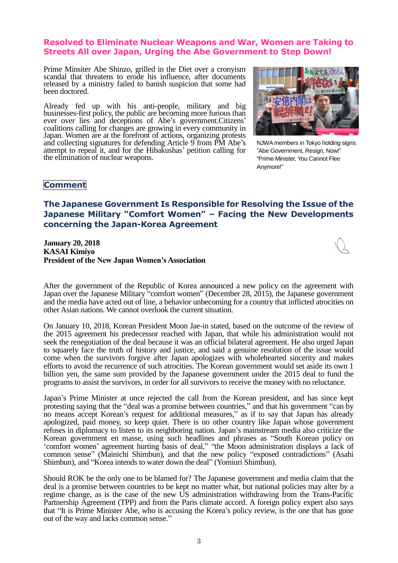## **Resolved to Eliminate Nuclear Weapons and War, Women are Taking to Streets All over Japan, Urging the Abe Government to Step Down!**

Prime Minsiter Abe Shinzo, grilled in the Diet over a cronyism scandal that threatens to erode his influence, after documents released by a ministry failed to banish suspicion that some had been doctored.

Already fed up with his anti-people, military and big businesses-first policy, the public are becoming more furious than ever over lies and deceptions of Abe's government.Citizens' coalitions calling for changes are growing in every community in Japan. Women are at the forefront of actions, organizing protests and collecting signatures for defending Article 9 from PM Abe's attempt to repeal it, and for the Hibakushas' petition calling for the elimination of nuclear weapons.



NJWA members in Tokyo holding signs: "Abe Government, Resign, Now!" "Prime Minister, You Cannot Flee Anymore!"

## **Comment**

## **The Japanese Government Is Responsible for Resolving the Issue of the Japanese Military "Comfort Women" – Facing the New Developments concerning the Japan-Korea Agreement**

**January 20, 2018 KASAI Kimiyo President of the New Japan Women's Association**



After the government of the Republic of Korea announced a new policy on the agreement with Japan over the Japanese Military "comfort women" (December 28, 2015), the Japanese government and the media have acted out of line, a behavior unbecoming for a country that inflicted atrocities on other Asian nations. We cannot overlook the current situation.

On January 10, 2018, Korean President Moon Jae-in stated, based on the outcome of the review of the 2015 agreement his predecessor reached with Japan, that while his administration would not seek the renegotiation of the deal because it was an official bilateral agreement. He also urged Japan to squarely face the truth of history and justice, and said a genuine resolution of the issue would come when the survivors forgive after Japan apologizes with wholehearted sincerity and makes efforts to avoid the recurrence of such atrocities. The Korean government would set aside its own 1 billion yen, the same sum provided by the Japanese government under the 2015 deal to fund the programs to assist the survivors, in order for all survivors to receive the money with no reluctance.

Japan's Prime Minister at once rejected the call from the Korean president, and has since kept protesting saying that the "deal was a promise between countries," and that his government "can by no means accept Korean's request for additional measures," as if to say that Japan has already apologized, paid money, so keep quiet. There is no other country like Japan whose government refuses in diplomacy to listen to its neighboring nation. Japan's mainstream media also criticize the Korean government en masse, using such headlines and phrases as "South Korean policy on 'comfort women' agreement hurting basis of deal," "the Moon administration displays a lack of common sense" (Mainichi Shimbun), and that the new policy "exposed contradictions" (Asahi Shimbun), and "Korea intends to water down the deal" (Yomiuri Shimbun).

Should ROK be the only one to be blamed for? The Japanese government and media claim that the deal is a promise between countries to be kept no matter what, but national policies may alter by a regime change, as is the case of the new US administration withdrawing from the Trans-Pacific Partnership Agreement (TPP) and from the Paris climate accord. A foreign policy expert also says that "It is Prime Minister Abe, who is accusing the Korea's policy review, is the one that has gone out of the way and lacks common sense."